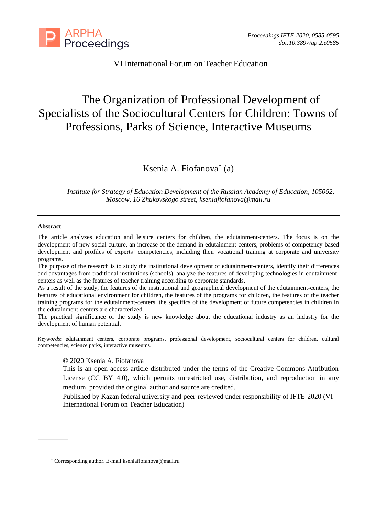

VI International Forum on Teacher Education

# The Organization of Professional Development of Specialists of the Sociocultural Centers for Children: Towns of Professions, Parks of Science, Interactive Museums

Ksenia A. Fiofanova\* (a)

*Institute for Strategy of Education Development of the Russian Academy of Education, 105062, Moscow, 16 Zhukovskogo street, [kseniafiofanova@mail.ru](mailto:kseniafiofanova@mail.ru)*

### **Abstract**

The article analyzes education and leisure centers for children, the edutainment-centers. The focus is on the development of new social culture, an increase of the demand in edutainment-centers, problems of competency-based development and profiles of experts' competencies, including their vocational training at corporate and university programs.

The purpose of the research is to study the institutional development of edutainment-centers, identify their differences and advantages from traditional institutions (schools), analyze the features of developing technologies in edutainmentcenters as well as the features of teacher training according to corporate standards.

As a result of the study, the features of the institutional and geographical development of the edutainment-centers, the features of educational environment for children, the features of the programs for children, the features of the teacher training programs for the edutainment-centers, the specifics of the development of future competencies in children in the edutainment-centers are characterized.

The practical significance of the study is new knowledge about the educational industry as an industry for the development of human potential.

*Keywords*: edutainment centers, corporate programs, professional development, sociocultural centers for children, cultural competencies, science parks, interactive museums.

## © 2020 Ksenia A. Fiofanova

This is an open access article distributed under the terms of the Creative Commons Attribution License (CC BY 4.0), which permits unrestricted use, distribution, and reproduction in any medium, provided the original author and source are credited.

Published by Kazan federal university and peer-reviewed under responsibility of IFTE-2020 (VI International Forum on Teacher Education)

<sup>\*</sup> Corresponding author. E-mail kseniafiofanova@mail.ru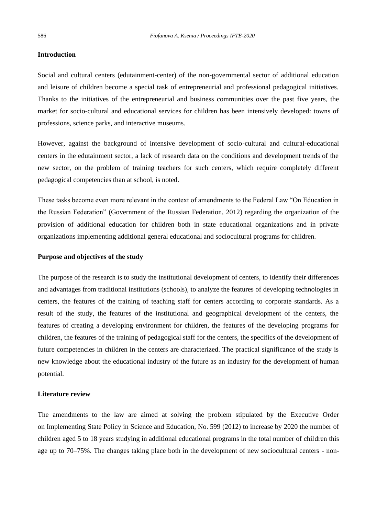## **Introduction**

Social and cultural centers (edutainment-center) of the non-governmental sector of additional education and leisure of children become a special task of entrepreneurial and professional pedagogical initiatives. Thanks to the initiatives of the entrepreneurial and business communities over the past five years, the market for socio-cultural and educational services for children has been intensively developed: towns of professions, science parks, and interactive museums.

However, against the background of intensive development of socio-cultural and cultural-educational centers in the edutainment sector, a lack of research data on the conditions and development trends of the new sector, on the problem of training teachers for such centers, which require completely different pedagogical competencies than at school, is noted.

These tasks become even more relevant in the context of amendments to the Federal Law "On Education in the Russian Federation" (Government of the Russian Federation, 2012) regarding the organization of the provision of additional education for children both in state educational organizations and in private organizations implementing additional general educational and sociocultural programs for children.

## **Purpose and objectives of the study**

The purpose of the research is to study the institutional development of centers, to identify their differences and advantages from traditional institutions (schools), to analyze the features of developing technologies in centers, the features of the training of teaching staff for centers according to corporate standards. As a result of the study, the features of the institutional and geographical development of the centers, the features of creating a developing environment for children, the features of the developing programs for children, the features of the training of pedagogical staff for the centers, the specifics of the development of future competencies in children in the centers are characterized. The practical significance of the study is new knowledge about the educational industry of the future as an industry for the development of human potential.

### **Literature review**

The amendments to the law are aimed at solving the problem stipulated by the Executive Order on Implementing State Policy in Science and Education, No. 599 (2012) to increase by 2020 the number of children aged 5 to 18 years studying in additional educational programs in the total number of children this age up to 70–75%. The changes taking place both in the development of new sociocultural centers - non-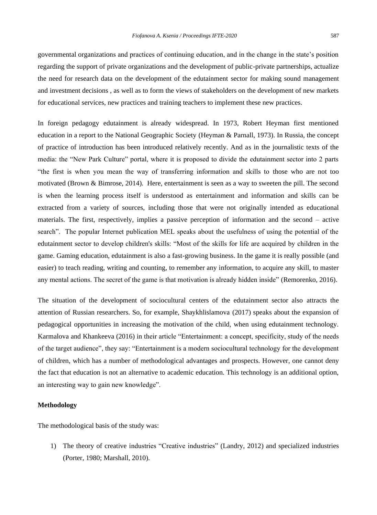governmental organizations and practices of continuing education, and in the change in the state's position regarding the support of private organizations and the development of public-private partnerships, actualize the need for research data on the development of the edutainment sector for making sound management and investment decisions , as well as to form the views of stakeholders on the development of new markets for educational services, new practices and training teachers to implement these new practices.

In foreign pedagogy edutainment is already widespread. In 1973, Robert Heyman first mentioned education in a report to the National Geographic Society (Heyman & Parnall, 1973). In Russia, the concept of practice of introduction has been introduced relatively recently. And as in the journalistic texts of the media: the "New Park Culture" portal, where it is proposed to divide the edutainment sector into 2 parts "the first is when you mean the way of transferring information and skills to those who are not too motivated (Brown & Bimrose, 2014). Here, entertainment is seen as a way to sweeten the pill. The second is when the learning process itself is understood as entertainment and information and skills can be extracted from a variety of sources, including those that were not originally intended as educational materials. The first, respectively, implies a passive perception of information and the second – active search". The popular Internet publication MEL speaks about the usefulness of using the potential of the edutainment sector to develop children's skills: "Most of the skills for life are acquired by children in the game. Gaming education, edutainment is also a fast-growing business. In the game it is really possible (and easier) to teach reading, writing and counting, to remember any information, to acquire any skill, to master any mental actions. The secret of the game is that motivation is already hidden inside" (Remorenko, 2016).

The situation of the development of sociocultural centers of the edutainment sector also attracts the attention of Russian researchers. So, for example, Shaykhlislamova (2017) speaks about the expansion of pedagogical opportunities in increasing the motivation of the child, when using edutainment technology. Karmalova and Khankeeva (2016) in their article "Entertainment: a concept, specificity, study of the needs of the target audience", they say: "Entertainment is a modern sociocultural technology for the development of children, which has a number of methodological advantages and prospects. However, one cannot deny the fact that education is not an alternative to academic education. This technology is an additional option, an interesting way to gain new knowledge".

## **Methodology**

The methodological basis of the study was:

1) The theory of creative industries "Creative industries" (Landry, 2012) and specialized industries (Porter, 1980; Marshall, 2010).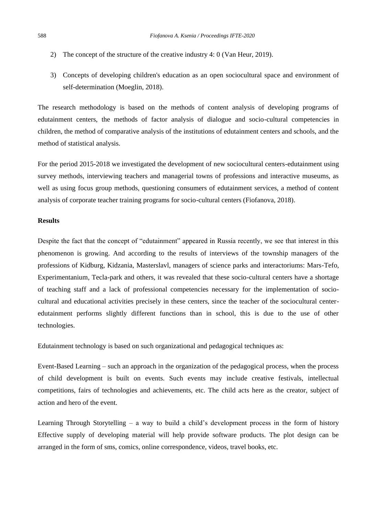- 2) The concept of the structure of the creative industry 4: 0 (Van Heur, 2019).
- 3) Concepts of developing children's education as an open sociocultural space and environment of self-determination (Moeglin, 2018).

The research methodology is based on the methods of content analysis of developing programs of edutainment centers, the methods of factor analysis of dialogue and socio-cultural competencies in children, the method of comparative analysis of the institutions of edutainment centers and schools, and the method of statistical analysis.

For the period 2015-2018 we investigated the development of new sociocultural centers-edutainment using survey methods, interviewing teachers and managerial towns of professions and interactive museums, as well as using focus group methods, questioning consumers of edutainment services, a method of content analysis of corporate teacher training programs for socio-cultural centers (Fiofanova, 2018).

## **Results**

Despite the fact that the concept of "edutainment" appeared in Russia recently, we see that interest in this phenomenon is growing. And according to the results of interviews of the township managers of the professions of Kidburg, Kidzania, Masterslavl, managers of science parks and interactoriums: Mars-Tefo, Experimentanium, Tecla-park and others, it was revealed that these socio-cultural centers have a shortage of teaching staff and a lack of professional competencies necessary for the implementation of sociocultural and educational activities precisely in these centers, since the teacher of the sociocultural centeredutainment performs slightly different functions than in school, this is due to the use of other technologies.

Edutainment technology is based on such organizational and pedagogical techniques as:

Event-Based Learning – such an approach in the organization of the pedagogical process, when the process of child development is built on events. Such events may include creative festivals, intellectual competitions, fairs of technologies and achievements, etc. The child acts here as the creator, subject of action and hero of the event.

Learning Through Storytelling – a way to build a child's development process in the form of history Effective supply of developing material will help provide software products. The plot design can be arranged in the form of sms, comics, online correspondence, videos, travel books, etc.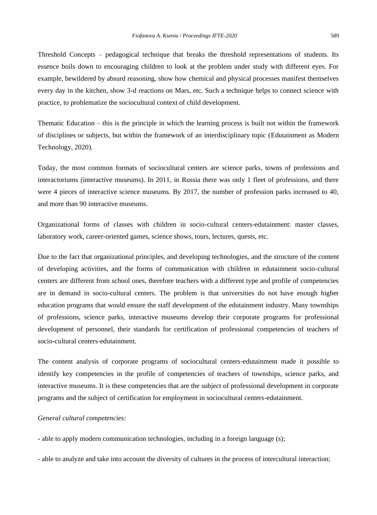Threshold Concepts – pedagogical technique that breaks the threshold representations of students. Its essence boils down to encouraging children to look at the problem under study with different eyes. For example, bewildered by absurd reasoning, show how chemical and physical processes manifest themselves every day in the kitchen, show 3-d reactions on Mars, etc. Such a technique helps to connect science with practice, to problematize the sociocultural context of child development.

Thematic Education – this is the principle in which the learning process is built not within the framework of disciplines or subjects, but within the framework of an interdisciplinary topic (Edutainment as Modern Technology, 2020).

Today, the most common formats of sociocultural centers are science parks, towns of professions and interactoriums (interactive museums). In 2011, in Russia there was only 1 fleet of professions, and there were 4 pieces of interactive science museums. By 2017, the number of profession parks increased to 40, and more than 90 interactive museums.

Organizational forms of classes with children in socio-cultural centers-edutainment: master classes, laboratory work, career-oriented games, science shows, tours, lectures, quests, etc.

Due to the fact that organizational principles, and developing technologies, and the structure of the content of developing activities, and the forms of communication with children in edutainment socio-cultural centers are different from school ones, therefore teachers with a different type and profile of competencies are in demand in socio-cultural centers. The problem is that universities do not have enough higher education programs that would ensure the staff development of the edutainment industry. Many townships of professions, science parks, interactive museums develop their corporate programs for professional development of personnel, their standards for certification of professional competencies of teachers of socio-cultural centers-edutainment.

The content analysis of corporate programs of sociocultural centers-edutainment made it possible to identify key competencies in the profile of competencies of teachers of townships, science parks, and interactive museums. It is these competencies that are the subject of professional development in corporate programs and the subject of certification for employment in sociocultural centers-edutainment.

### *General cultural competencies:*

- able to apply modern communication technologies, including in a foreign language (s);

- able to analyze and take into account the diversity of cultures in the process of intercultural interaction;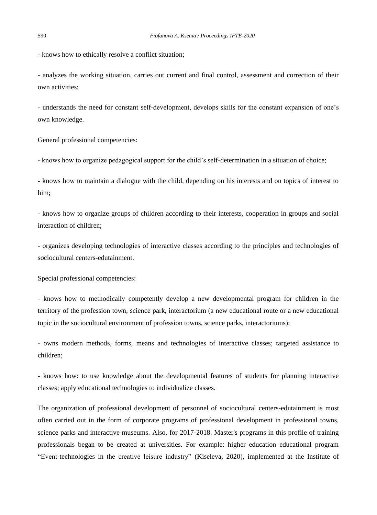- knows how to ethically resolve a conflict situation;

- analyzes the working situation, carries out current and final control, assessment and correction of their own activities;

- understands the need for constant self-development, develops skills for the constant expansion of one's own knowledge.

General professional competencies:

- knows how to organize pedagogical support for the child's self-determination in a situation of choice;

- knows how to maintain a dialogue with the child, depending on his interests and on topics of interest to him;

- knows how to organize groups of children according to their interests, cooperation in groups and social interaction of children;

- organizes developing technologies of interactive classes according to the principles and technologies of sociocultural centers-edutainment.

Special professional competencies:

- knows how to methodically competently develop a new developmental program for children in the territory of the profession town, science park, interactorium (a new educational route or a new educational topic in the sociocultural environment of profession towns, science parks, interactoriums);

- owns modern methods, forms, means and technologies of interactive classes; targeted assistance to children;

- knows how: to use knowledge about the developmental features of students for planning interactive classes; apply educational technologies to individualize classes.

The organization of professional development of personnel of sociocultural centers-edutainment is most often carried out in the form of corporate programs of professional development in professional towns, science parks and interactive museums. Also, for 2017-2018. Master's programs in this profile of training professionals began to be created at universities. For example: higher education educational program "Event-technologies in the creative leisure industry" (Kiseleva, 2020), implemented at the Institute of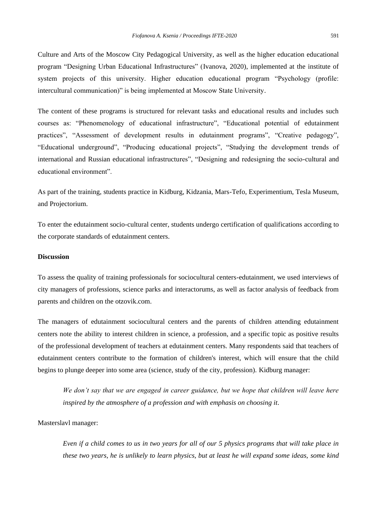Culture and Arts of the Moscow City Pedagogical University, as well as the higher education educational program "Designing Urban Educational Infrastructures" (Ivanova, 2020), implemented at the institute of system projects of this university. Higher education educational program "Psychology (profile: intercultural communication)" is being implemented at Moscow State University.

The content of these programs is structured for relevant tasks and educational results and includes such courses as: "Phenomenology of educational infrastructure", "Educational potential of edutainment practices", "Assessment of development results in edutainment programs", "Creative pedagogy", "Educational underground", "Producing educational projects", "Studying the development trends of international and Russian educational infrastructures", "Designing and redesigning the socio-cultural and educational environment".

As part of the training, students practice in Kidburg, Kidzania, Mars-Tefo, Experimentium, Tesla Museum, and Projectorium.

To enter the edutainment socio-cultural center, students undergo certification of qualifications according to the corporate standards of edutainment centers.

# **Discussion**

To assess the quality of training professionals for sociocultural centers-edutainment, we used interviews of city managers of professions, science parks and interactorums, as well as factor analysis of feedback from parents and children on the otzovik.com.

The managers of edutainment sociocultural centers and the parents of children attending edutainment centers note the ability to interest children in science, a profession, and a specific topic as positive results of the professional development of teachers at edutainment centers. Many respondents said that teachers of edutainment centers contribute to the formation of children's interest, which will ensure that the child begins to plunge deeper into some area (science, study of the city, profession). Kidburg manager:

*We don't say that we are engaged in career guidance, but we hope that children will leave here inspired by the atmosphere of a profession and with emphasis on choosing it*.

Masterslavl manager:

*Even if a child comes to us in two years for all of our 5 physics programs that will take place in these two years, he is unlikely to learn physics, but at least he will expand some ideas, some kind*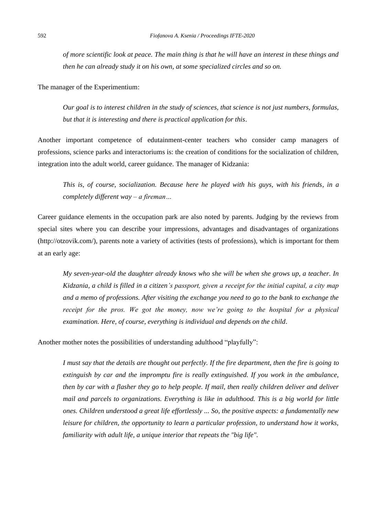*of more scientific look at peace. The main thing is that he will have an interest in these things and then he can already study it on his own, at some specialized circles and so on.*

The manager of the Experimentium:

*Our goal is to interest children in the study of sciences, that science is not just numbers, formulas, but that it is interesting and there is practical application for this*.

Another important competence of edutainment-center teachers who consider camp managers of professions, science parks and interactoriums is: the creation of conditions for the socialization of children, integration into the adult world, career guidance. The manager of Kidzania:

*This is, of course, socialization. Because here he played with his guys, with his friends, in a completely different way – a fireman…*

Career guidance elements in the occupation park are also noted by parents. Judging by the reviews from special sites where you can describe your impressions, advantages and disadvantages of organizations (http://otzovik.com/), parents note a variety of activities (tests of professions), which is important for them at an early age:

*My seven-year-old the daughter already knows who she will be when she grows up, a teacher. In Kidzania, a child is filled in a citizen's passport, given a receipt for the initial capital, a city map and a memo of professions. After visiting the exchange you need to go to the bank to exchange the receipt for the pros. We got the money, now we're going to the hospital for a physical examination. Here, of course, everything is individual and depends on the child*.

Another mother notes the possibilities of understanding adulthood "playfully":

*I must say that the details are thought out perfectly. If the fire department, then the fire is going to extinguish by car and the impromptu fire is really extinguished. If you work in the ambulance, then by car with a flasher they go to help people. If mail, then really children deliver and deliver mail and parcels to organizations. Everything is like in adulthood. This is a big world for little ones. Children understood a great life effortlessly ... So, the positive aspects: a fundamentally new leisure for children, the opportunity to learn a particular profession, to understand how it works, familiarity with adult life, a unique interior that repeats the "big life".*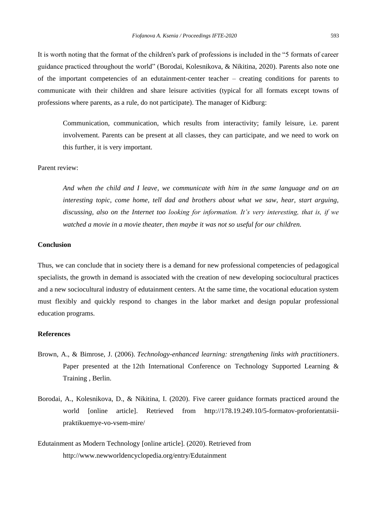It is worth noting that the format of the children's park of professions is included in the "5 formats of career guidance practiced throughout the world" (Borodai, Kolesnikova, & Nikitina, 2020). Parents also note one of the important competencies of an edutainment-center teacher – creating conditions for parents to communicate with their children and share leisure activities (typical for all formats except towns of professions where parents, as a rule, do not participate). The manager of Kidburg:

Communication, communication, which results from interactivity; family leisure, i.e. parent involvement. Parents can be present at all classes, they can participate, and we need to work on this further, it is very important.

# Parent review:

*And when the child and I leave, we communicate with him in the same language and on an interesting topic, come home, tell dad and brothers about what we saw, hear, start arguing, discussing, also on the Internet too looking for information. It's very interesting, that is, if we watched a movie in a movie theater, then maybe it was not so useful for our children.*

### **Conclusion**

Thus, we can conclude that in society there is a demand for new professional competencies of pedagogical specialists, the growth in demand is associated with the creation of new developing sociocultural practices and a new sociocultural industry of edutainment centers. At the same time, the vocational education system must flexibly and quickly respond to changes in the labor market and design popular professional education programs.

# **References**

- Brown, A., & Bimrose, J. (2006). *Technology-enhanced learning: strengthening links with practitioners*. Paper presented at the 12th International Conference on Technology Supported Learning & Training , Berlin.
- Borodai, A., Kolesnikova, D., & Nikitina, I. (2020). Five career guidance formats practiced around the world [online article]. Retrieved from http://178.19.249.10/5-formatov-proforientatsiipraktikuemye-vo-vsem-mire/
- Edutainment as Modern Technology [online article]. (2020). Retrieved from http://www.newworldencyclopedia.org/entry/Edutainment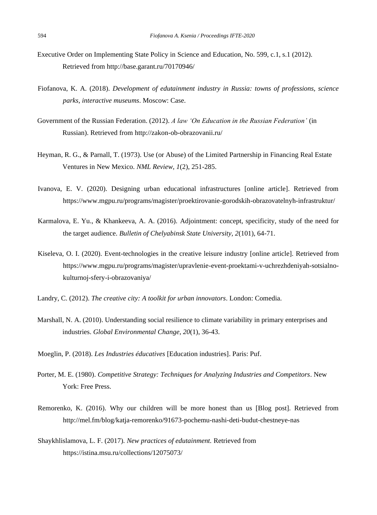- Executive Order on Implementing State Policy in Science and Education, No. 599, c.1, s.1 (2012). Retrieved from<http://base.garant.ru/70170946/>
- Fiofanova, K. A*.* (2018). *Development of edutainment industry in Russia: towns of professions, science parks, interactive museums*. Moscow: Case.
- Government of the Russian Federation. (2012). *A law 'On Education in the Russian Federation'* (in Russian). Retrieved from<http://zakon-ob-obrazovanii.ru/>
- Heyman, R. G., & Parnall, T. (1973). Use (or Abuse) of the Limited Partnership in Financing Real Estate Ventures in New Mexico. *NML Review, 1*(2), 251-285.
- Ivanova, E. V. (2020). Designing urban educational infrastructures [online article]. Retrieved from https://www.mgpu.ru/programs/magister/proektirovanie-gorodskih-obrazovatelnyh-infrastruktur/
- Karmalova, E. Yu., & Khankeeva, A. A. (2016). Adjointment: concept, specificity, study of the need for the target audience. *Bulletin of Chelyabinsk State University, 2*(101), 64-71.
- Kiseleva, O. I. (2020). Event-technologies in the creative leisure industry [online article]. Retrieved from https://www.mgpu.ru/programs/magister/upravlenie-event-proektami-v-uchrezhdeniyah-sotsialnokulturnoj-sfery-i-obrazovaniya/
- Landry, C. (2012). *The creative city: A toolkit for urban innovators*. London: Comedia.
- Marshall, N. A. (2010). Understanding social resilience to climate variability in primary enterprises and industries. *Global Environmental Change, 20*(1), 36-43.
- Moeglin, P. (2018). *Les Industries éducatives* [Education industries]. Paris: Puf.
- Porter, M. E. (1980). *Competitive Strategy: Techniques for Analyzing Industries and Competitors*. New York: Free Press.
- Remorenko, K. (2016). Why our children will be more honest than us [Blog post]. Retrieved from http://mel.fm/blog/katja-remorenko/91673-pochemu-nashi-deti-budut-chestneye-nas
- Shaykhlislamova, L. F. (2017). *New practices of edutainment.* Retrieved from https://istina.msu.ru/collections/12075073/